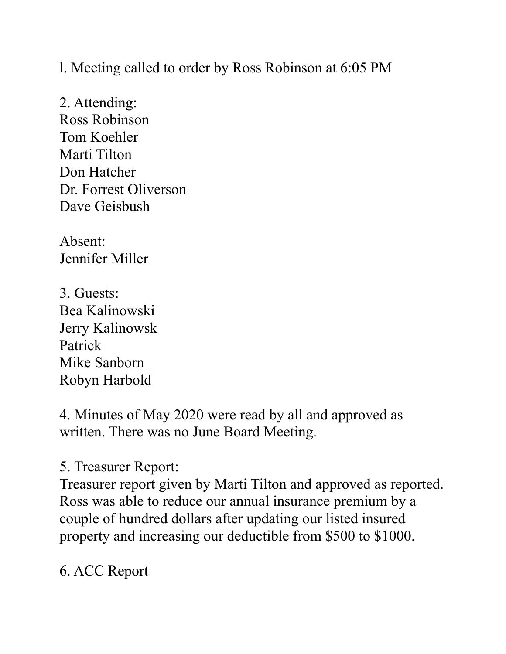l. Meeting called to order by Ross Robinson at 6:05 PM

2. Attending: Ross Robinson Tom Koehler Marti Tilton Don Hatcher Dr. Forrest Oliverson Dave Geisbush

Absent: Jennifer Miller

3. Guests: Bea Kalinowski Jerry Kalinowsk Patrick Mike Sanborn Robyn Harbold

4. Minutes of May 2020 were read by all and approved as written. There was no June Board Meeting.

5. Treasurer Report:

Treasurer report given by Marti Tilton and approved as reported. Ross was able to reduce our annual insurance premium by a couple of hundred dollars after updating our listed insured property and increasing our deductible from \$500 to \$1000.

6. ACC Report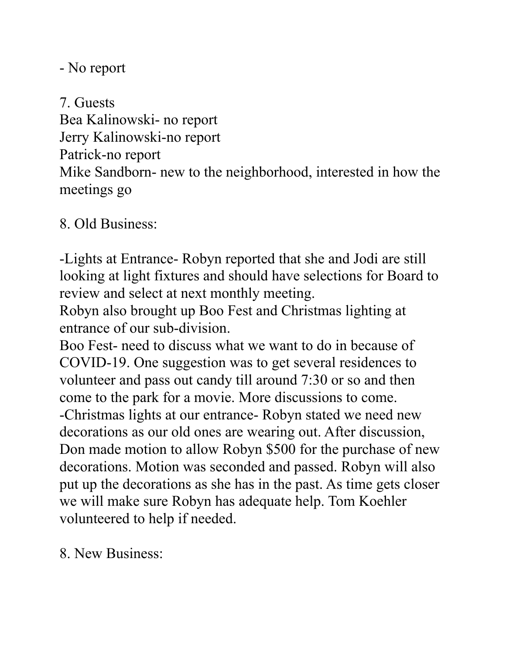- No report

7. Guests Bea Kalinowski- no report Jerry Kalinowski-no report Patrick-no report Mike Sandborn- new to the neighborhood, interested in how the meetings go

8. Old Business:

-Lights at Entrance- Robyn reported that she and Jodi are still looking at light fixtures and should have selections for Board to review and select at next monthly meeting.

Robyn also brought up Boo Fest and Christmas lighting at entrance of our sub-division.

Boo Fest- need to discuss what we want to do in because of COVID-19. One suggestion was to get several residences to volunteer and pass out candy till around 7:30 or so and then come to the park for a movie. More discussions to come. -Christmas lights at our entrance- Robyn stated we need new decorations as our old ones are wearing out. After discussion, Don made motion to allow Robyn \$500 for the purchase of new decorations. Motion was seconded and passed. Robyn will also put up the decorations as she has in the past. As time gets closer we will make sure Robyn has adequate help. Tom Koehler volunteered to help if needed.

8. New Business: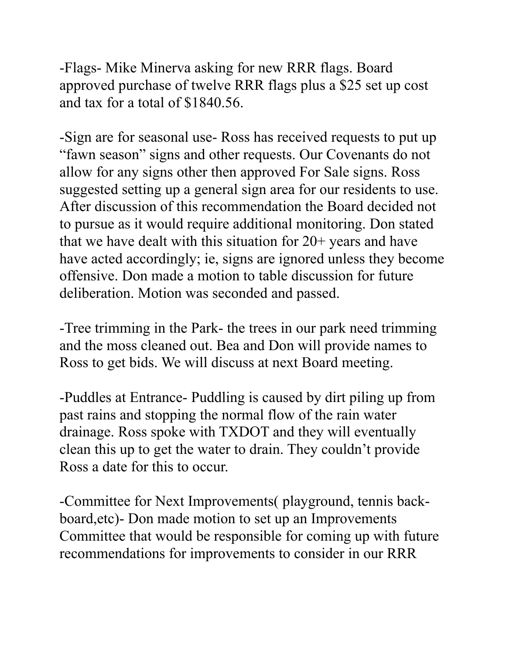-Flags- Mike Minerva asking for new RRR flags. Board approved purchase of twelve RRR flags plus a \$25 set up cost and tax for a total of \$1840.56.

-Sign are for seasonal use- Ross has received requests to put up "fawn season" signs and other requests. Our Covenants do not allow for any signs other then approved For Sale signs. Ross suggested setting up a general sign area for our residents to use. After discussion of this recommendation the Board decided not to pursue as it would require additional monitoring. Don stated that we have dealt with this situation for 20+ years and have have acted accordingly; ie, signs are ignored unless they become offensive. Don made a motion to table discussion for future deliberation. Motion was seconded and passed.

-Tree trimming in the Park- the trees in our park need trimming and the moss cleaned out. Bea and Don will provide names to Ross to get bids. We will discuss at next Board meeting.

-Puddles at Entrance- Puddling is caused by dirt piling up from past rains and stopping the normal flow of the rain water drainage. Ross spoke with TXDOT and they will eventually clean this up to get the water to drain. They couldn't provide Ross a date for this to occur.

-Committee for Next Improvements( playground, tennis backboard,etc)- Don made motion to set up an Improvements Committee that would be responsible for coming up with future recommendations for improvements to consider in our RRR